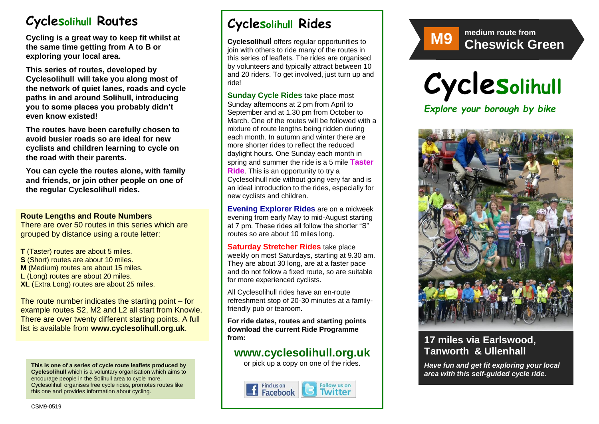# **Cyclesolihull Routes**

**Cycling is a great way to keep fit whilst at the same time getting from A to B or exploring your local area.** 

**This series of routes, developed by Cyclesolihull will take you along most of the network of quiet lanes, roads and cycle paths in and around Solihull, introducing you to some places you probably didn't even know existed!**

**The routes have been carefully chosen to avoid busier roads so are ideal for new cyclists and children learning to cycle on the road with their parents.** 

**You can cycle the routes alone, with family and friends, or join other people on one of the regular Cyclesolihull rides.**

#### **Route Lengths and Route Numbers**

There are over 50 routes in this series which are grouped by distance using a route letter:

**T** (Taster) routes are about 5 miles. **S** (Short) routes are about 10 miles. **M** (Medium) routes are about 15 miles. **L** (Long) routes are about 20 miles. **XL** (Extra Long) routes are about 25 miles.

The route number indicates the starting point – for example routes S2, M2 and L2 all start from Knowle. There are over twenty different starting points. A full list is available from **www.cyclesolihull.org.uk**.

**This is one of a series of cycle route leaflets produced by Cyclesolihull** which is a voluntary organisation which aims to encourage people in the Solihull area to cycle more. Cyclesolihull organises free cycle rides, promotes routes like this one and provides information about cycling.

# **Cyclesolihull Rides**

**Cyclesolihull** offers regular opportunities to join with others to ride many of the routes in this series of leaflets. The rides are organised by volunteers and typically attract between 10 and 20 riders. To get involved, just turn up and ride!

**Sunday Cycle Rides** take place most Sunday afternoons at 2 pm from April to September and at 1.30 pm from October to March. One of the routes will be followed with a mixture of route lengths being ridden during each month. In autumn and winter there are more shorter rides to reflect the reduced daylight hours. One Sunday each month in spring and summer the ride is a 5 mile **Taster Ride**. This is an opportunity to try a Cyclesolihull ride without going very far and is an ideal introduction to the rides, especially for new cyclists and children.

**Evening Explorer Rides** are on a midweek evening from early May to mid-August starting at 7 pm. These rides all follow the shorter "S" routes so are about 10 miles long.

**Saturday Stretcher Rides** take place weekly on most Saturdays, starting at 9.30 am. They are about 30 long, are at a faster pace and do not follow a fixed route, so are suitable for more experienced cyclists.

All Cyclesolihull rides have an en-route refreshment stop of 20-30 minutes at a familyfriendly pub or tearoom.

**For ride dates, routes and starting points download the current Ride Programme from:** 

## **www.cyclesolihull.org.uk**

or pick up a copy on one of the rides.









## **17 miles via Earlswood, Tanworth & Ullenhall**

*Have fun and get fit exploring your local area with this self-guided cycle ride.*